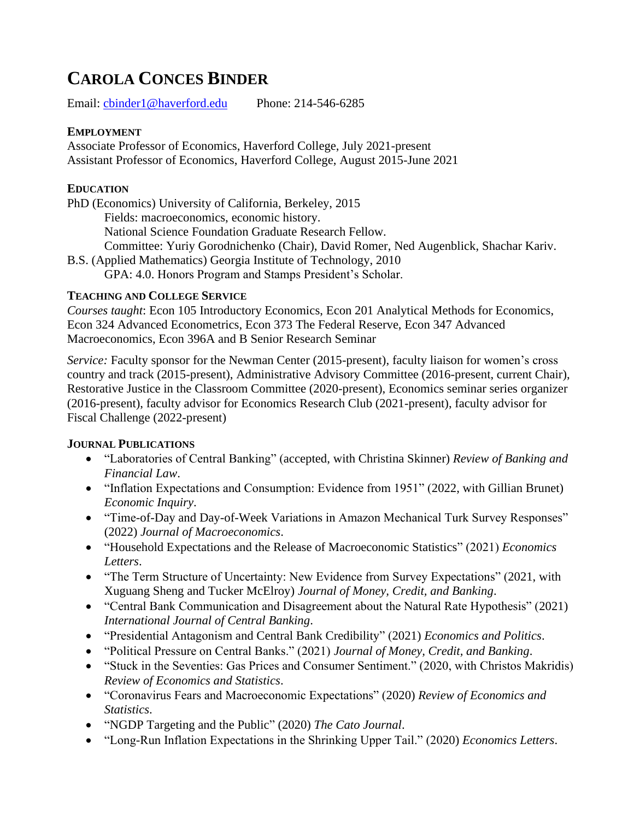# **CAROLA CONCES BINDER**

Email: [cbinder1@haverford.edu](mailto:cbinder1@haverford.edu) Phone: 214-546-6285

### **EMPLOYMENT**

Associate Professor of Economics, Haverford College, July 2021-present Assistant Professor of Economics, Haverford College, August 2015-June 2021

### **EDUCATION**

PhD (Economics) University of California, Berkeley, 2015 Fields: macroeconomics, economic history.

National Science Foundation Graduate Research Fellow.

Committee: Yuriy Gorodnichenko (Chair), David Romer, Ned Augenblick, Shachar Kariv.

B.S. (Applied Mathematics) Georgia Institute of Technology, 2010 GPA: 4.0. Honors Program and Stamps President's Scholar.

## **TEACHING AND COLLEGE SERVICE**

*Courses taught*: Econ 105 Introductory Economics, Econ 201 Analytical Methods for Economics, Econ 324 Advanced Econometrics, Econ 373 The Federal Reserve, Econ 347 Advanced Macroeconomics, Econ 396A and B Senior Research Seminar

*Service:* Faculty sponsor for the Newman Center (2015-present), faculty liaison for women's cross country and track (2015-present), Administrative Advisory Committee (2016-present, current Chair), Restorative Justice in the Classroom Committee (2020-present), Economics seminar series organizer (2016-present), faculty advisor for Economics Research Club (2021-present), faculty advisor for Fiscal Challenge (2022-present)

## **JOURNAL PUBLICATIONS**

- "Laboratories of Central Banking" (accepted, with Christina Skinner) *Review of Banking and Financial Law*.
- "Inflation Expectations and Consumption: Evidence from 1951" (2022, with Gillian Brunet) *Economic Inquiry*.
- "Time-of-Day and Day-of-Week Variations in Amazon Mechanical Turk Survey Responses" (2022) *Journal of Macroeconomics*.
- "Household Expectations and the Release of Macroeconomic Statistics" (2021) *Economics Letters*.
- "The Term Structure of Uncertainty: New Evidence from Survey Expectations" (2021, with Xuguang Sheng and Tucker McElroy) *Journal of Money, Credit, and Banking*.
- "Central Bank Communication and Disagreement about the Natural Rate Hypothesis" (2021) *International Journal of Central Banking*.
- "Presidential Antagonism and Central Bank Credibility" (2021) *Economics and Politics*.
- "Political Pressure on Central Banks." (2021) *Journal of Money, Credit, and Banking*.
- "Stuck in the Seventies: Gas Prices and Consumer Sentiment." (2020, with Christos Makridis) *Review of Economics and Statistics*.
- "Coronavirus Fears and Macroeconomic Expectations" (2020) *Review of Economics and Statistics*.
- "NGDP Targeting and the Public" (2020) *The Cato Journal*.
- "Long-Run Inflation Expectations in the Shrinking Upper Tail." (2020) *Economics Letters*.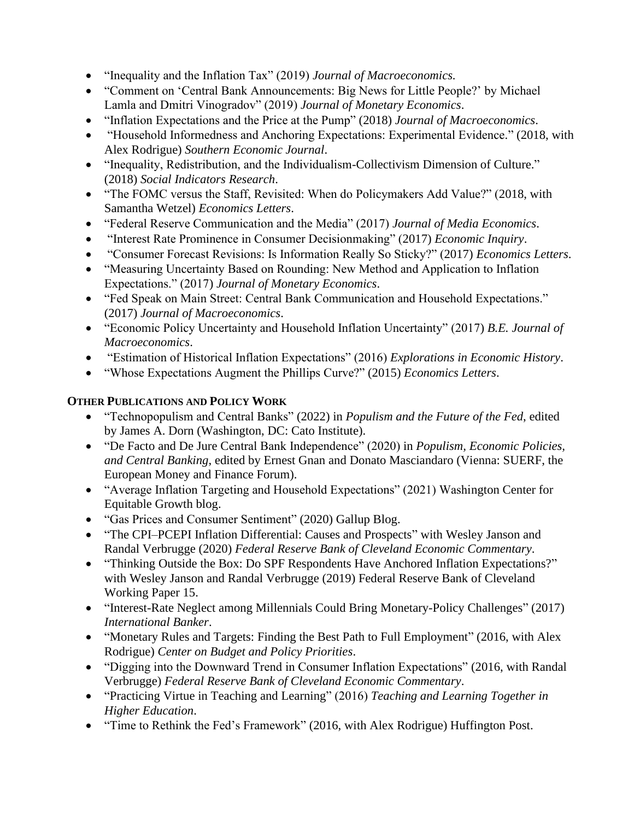- "Inequality and the Inflation Tax" (2019) *Journal of Macroeconomics.*
- "Comment on 'Central Bank Announcements: Big News for Little People?' by Michael Lamla and Dmitri Vinogradov" (2019) *Journal of Monetary Economics*.
- "Inflation Expectations and the Price at the Pump" (2018) *Journal of Macroeconomics*.
- "Household Informedness and Anchoring Expectations: Experimental Evidence." (2018, with Alex Rodrigue) *Southern Economic Journal*.
- "Inequality, Redistribution, and the Individualism-Collectivism Dimension of Culture." (2018) *Social Indicators Research*.
- "The FOMC versus the Staff, Revisited: When do Policymakers Add Value?" (2018, with Samantha Wetzel) *Economics Letters*.
- "Federal Reserve Communication and the Media" (2017) *Journal of Media Economics*.
- "Interest Rate Prominence in Consumer Decisionmaking" (2017) *Economic Inquiry*.
- "Consumer Forecast Revisions: Is Information Really So Sticky?" (2017) *Economics Letters*.
- "Measuring Uncertainty Based on Rounding: New Method and Application to Inflation Expectations." (2017) *Journal of Monetary Economics*.
- "Fed Speak on Main Street: Central Bank Communication and Household Expectations." (2017) *Journal of Macroeconomics*.
- "Economic Policy Uncertainty and Household Inflation Uncertainty" (2017) *B.E. Journal of Macroeconomics*.
- "Estimation of Historical Inflation Expectations" (2016) *Explorations in Economic History*.
- "Whose Expectations Augment the Phillips Curve?" (2015) *Economics Letters*.

#### **OTHER PUBLICATIONS AND POLICY WORK**

- "Technopopulism and Central Banks" (2022) in *Populism and the Future of the Fed*, edited by James A. Dorn (Washington, DC: Cato Institute).
- "De Facto and De Jure Central Bank Independence" (2020) in *Populism, Economic Policies, and Central Banking*, edited by Ernest Gnan and Donato Masciandaro (Vienna: SUERF, the European Money and Finance Forum).
- "Average Inflation Targeting and Household Expectations" (2021) Washington Center for Equitable Growth blog.
- "Gas Prices and Consumer Sentiment" (2020) Gallup Blog.
- "The CPI–PCEPI Inflation Differential: Causes and Prospects" with Wesley Janson and Randal Verbrugge (2020) *Federal Reserve Bank of Cleveland Economic Commentary*.
- "Thinking Outside the Box: Do SPF Respondents Have Anchored Inflation Expectations?" with Wesley Janson and Randal Verbrugge (2019) Federal Reserve Bank of Cleveland Working Paper 15.
- "Interest-Rate Neglect among Millennials Could Bring Monetary-Policy Challenges" (2017) *International Banker*.
- "Monetary Rules and Targets: Finding the Best Path to Full Employment" (2016, with Alex Rodrigue) *Center on Budget and Policy Priorities*.
- "Digging into the Downward Trend in Consumer Inflation Expectations" (2016, with Randal Verbrugge) *Federal Reserve Bank of Cleveland Economic Commentary*.
- "Practicing Virtue in Teaching and Learning" (2016) *Teaching and Learning Together in Higher Education*.
- "Time to Rethink the Fed's Framework" (2016, with Alex Rodrigue) Huffington Post.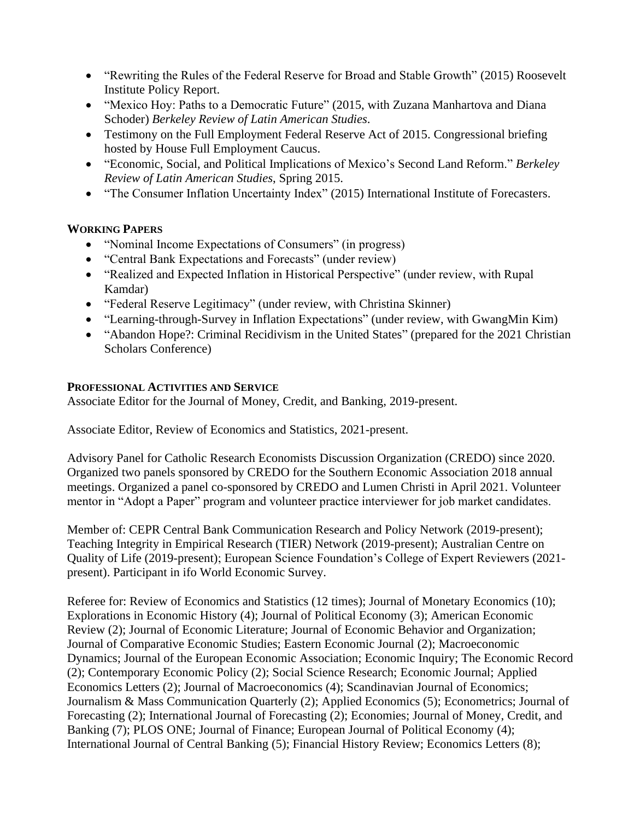- "Rewriting the Rules of the Federal Reserve for Broad and Stable Growth" (2015) Roosevelt Institute Policy Report.
- "Mexico Hoy: Paths to a Democratic Future" (2015, with Zuzana Manhartova and Diana Schoder) *Berkeley Review of Latin American Studies*.
- Testimony on the Full Employment Federal Reserve Act of 2015. Congressional briefing hosted by House Full Employment Caucus.
- "Economic, Social, and Political Implications of Mexico's Second Land Reform." *Berkeley Review of Latin American Studies*, Spring 2015.
- "The Consumer Inflation Uncertainty Index" (2015) International Institute of Forecasters.

#### **WORKING PAPERS**

- "Nominal Income Expectations of Consumers" (in progress)
- "Central Bank Expectations and Forecasts" (under review)
- "Realized and Expected Inflation in Historical Perspective" (under review, with Rupal Kamdar)
- "Federal Reserve Legitimacy" (under review, with Christina Skinner)
- "Learning-through-Survey in Inflation Expectations" (under review, with GwangMin Kim)
- "Abandon Hope?: Criminal Recidivism in the United States" (prepared for the 2021 Christian Scholars Conference)

#### **PROFESSIONAL ACTIVITIES AND SERVICE**

Associate Editor for the Journal of Money, Credit, and Banking, 2019-present.

Associate Editor, Review of Economics and Statistics, 2021-present.

Advisory Panel for Catholic Research Economists Discussion Organization (CREDO) since 2020. Organized two panels sponsored by CREDO for the Southern Economic Association 2018 annual meetings. Organized a panel co-sponsored by CREDO and Lumen Christi in April 2021. Volunteer mentor in "Adopt a Paper" program and volunteer practice interviewer for job market candidates.

Member of: CEPR Central Bank Communication Research and Policy Network (2019-present); Teaching Integrity in Empirical Research (TIER) Network (2019-present); Australian Centre on Quality of Life (2019-present); European Science Foundation's College of Expert Reviewers (2021 present). Participant in ifo World Economic Survey.

Referee for: Review of Economics and Statistics (12 times); Journal of Monetary Economics (10); Explorations in Economic History (4); Journal of Political Economy (3); American Economic Review (2); Journal of Economic Literature; Journal of Economic Behavior and Organization; Journal of Comparative Economic Studies; Eastern Economic Journal (2); Macroeconomic Dynamics; Journal of the European Economic Association; Economic Inquiry; The Economic Record (2); Contemporary Economic Policy (2); Social Science Research; Economic Journal; Applied Economics Letters (2); Journal of Macroeconomics (4); Scandinavian Journal of Economics; Journalism & Mass Communication Quarterly (2); Applied Economics (5); Econometrics; Journal of Forecasting (2); International Journal of Forecasting (2); Economies; Journal of Money, Credit, and Banking (7); PLOS ONE; Journal of Finance; European Journal of Political Economy (4); International Journal of Central Banking (5); Financial History Review; Economics Letters (8);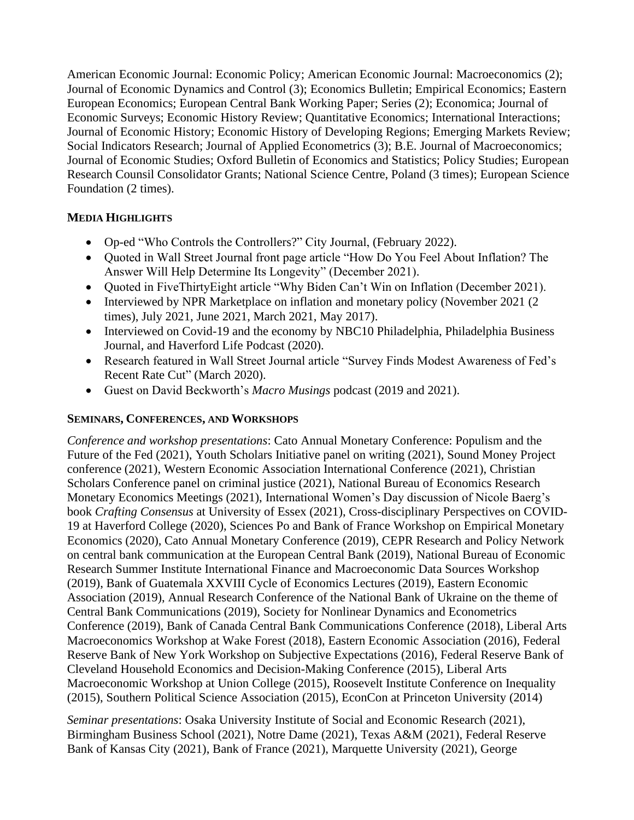American Economic Journal: Economic Policy; American Economic Journal: Macroeconomics (2); Journal of Economic Dynamics and Control (3); Economics Bulletin; Empirical Economics; Eastern European Economics; European Central Bank Working Paper; Series (2); Economica; Journal of Economic Surveys; Economic History Review; Quantitative Economics; International Interactions; Journal of Economic History; Economic History of Developing Regions; Emerging Markets Review; Social Indicators Research; Journal of Applied Econometrics (3); B.E. Journal of Macroeconomics; Journal of Economic Studies; Oxford Bulletin of Economics and Statistics; Policy Studies; European Research Counsil Consolidator Grants; National Science Centre, Poland (3 times); European Science Foundation (2 times).

#### **MEDIA HIGHLIGHTS**

- Op-ed "Who Controls the Controllers?" City Journal, (February 2022).
- Quoted in Wall Street Journal front page article "How Do You Feel About Inflation? The Answer Will Help Determine Its Longevity" (December 2021).
- Quoted in FiveThirtyEight article "Why Biden Can't Win on Inflation (December 2021).
- Interviewed by NPR Marketplace on inflation and monetary policy (November 2021 (2) times), July 2021, June 2021, March 2021, May 2017).
- Interviewed on Covid-19 and the economy by NBC10 Philadelphia, Philadelphia Business Journal, and Haverford Life Podcast (2020).
- Research featured in Wall Street Journal article "Survey Finds Modest Awareness of Fed's Recent Rate Cut" (March 2020).
- Guest on David Beckworth's *Macro Musings* podcast (2019 and 2021).

## **SEMINARS, CONFERENCES, AND WORKSHOPS**

*Conference and workshop presentations*: Cato Annual Monetary Conference: Populism and the Future of the Fed (2021), Youth Scholars Initiative panel on writing (2021), Sound Money Project conference (2021), Western Economic Association International Conference (2021), Christian Scholars Conference panel on criminal justice (2021), National Bureau of Economics Research Monetary Economics Meetings (2021), International Women's Day discussion of Nicole Baerg's book *Crafting Consensus* at University of Essex (2021), Cross-disciplinary Perspectives on COVID-19 at Haverford College (2020), Sciences Po and Bank of France Workshop on Empirical Monetary Economics (2020), Cato Annual Monetary Conference (2019), CEPR Research and Policy Network on central bank communication at the European Central Bank (2019), National Bureau of Economic Research Summer Institute International Finance and Macroeconomic Data Sources Workshop (2019), Bank of Guatemala XXVIII Cycle of Economics Lectures (2019), Eastern Economic Association (2019), Annual Research Conference of the National Bank of Ukraine on the theme of Central Bank Communications (2019), Society for Nonlinear Dynamics and Econometrics Conference (2019), Bank of Canada Central Bank Communications Conference (2018), Liberal Arts Macroeconomics Workshop at Wake Forest (2018), Eastern Economic Association (2016), Federal Reserve Bank of New York Workshop on Subjective Expectations (2016), Federal Reserve Bank of Cleveland Household Economics and Decision-Making Conference (2015), Liberal Arts Macroeconomic Workshop at Union College (2015), Roosevelt Institute Conference on Inequality (2015), Southern Political Science Association (2015), EconCon at Princeton University (2014)

*Seminar presentations*: Osaka University Institute of Social and Economic Research (2021), Birmingham Business School (2021), Notre Dame (2021), Texas A&M (2021), Federal Reserve Bank of Kansas City (2021), Bank of France (2021), Marquette University (2021), George